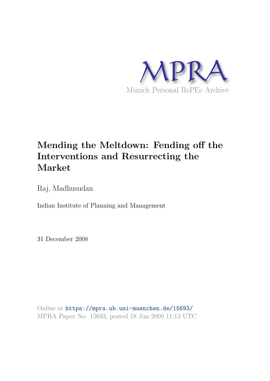

## **Mending the Meltdown: Fending off the Interventions and Resurrecting the Market**

Raj, Madhusudan

Indian Institute of Planning and Management

31 December 2008

Online at https://mpra.ub.uni-muenchen.de/15693/ MPRA Paper No. 15693, posted 18 Jun 2009 11:13 UTC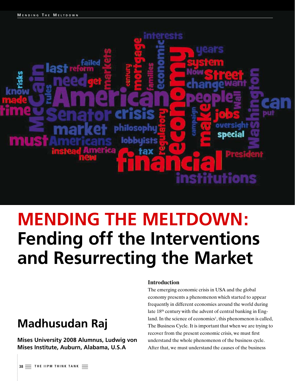

# **MENDING THE MELTDOWN: Fending off the Interventions and Resurrecting the Market**

# **Madhusudan Raj**

**Mises University 2008 Alumnus, Ludwig von Mises Institute, Auburn, Alabama, U.S.A**

#### **Introduction**

The emerging economic crisis in USA and the global economy presents a phenomenon which started to appear frequently in different economies around the world during late 18<sup>th</sup> century with the advent of central banking in England. In the science of economics<sup>1</sup>, this phenomenon is called, The Business Cycle. It is important that when we are trying to recover from the present economic crisis, we must first understand the whole phenomenon of the business cycle. After that, we must understand the causes of the business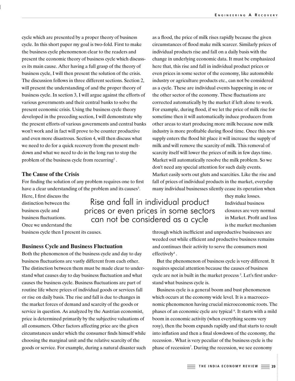cycle which are presented by a proper theory of business cycle. In this short paper my goal is two-fold. First to make the business cycle phenomenon clear to the readers and present the economic theory of business cycle which discusses its main cause. After having a full grasp of the theory of business cycle, I will then present the solution of the crisis. The discussion follows in three different sections. Section 2, will present the understanding of and the proper theory of business cycle. In section 3, I will argue against the efforts of various governments and their central banks to solve the present economic crisis. Using the business cycle theory developed in the preceding section, I will demonstrate why the present efforts of various governments and central banks won't work and in fact will prove to be counter productive and even more disastrous. Section 4, will then discuss what we need to do for a quick recovery from the present meltdown and what we need to do in the long run to stop the problem of the business cycle from recurring<sup>2</sup>.

#### **The Cause of the Crisis**

For finding the solution of any problem requires one to first have a clear understanding of the problem and its causes<sup>3</sup>.

> Rise and fall in individual product prices or even prices in some sectors can not be considered as a cycle

Here, I first discuss the distinction between the business cycle and business fluctuations. Once we understand the

business cycle then I present its causes.

#### **Business Cycle and Business Fluctuation**

Both the phenomenon of the business cycle and day to day business fluctuations are vastly different from each other. The distinction between them must be made clear to understand what causes day to day business fluctuation and what causes the business cycle. Business fluctuations are part of routine life where prices of individual goods or services fall or rise on daily basis. The rise and fall is due to changes in the market forces of demand and scarcity of the goods or service in question. As analyzed by the Austrian economist, price is determined primarily by the subjective valuations of all consumers. Other factors affecting price are the given circumstances under which the consumer finds himself while choosing the marginal unit and the relative scarcity of the goods or service. For example, during a natural disaster such as a flood, the price of milk rises rapidly because the given circumstances of flood make milk scarcer. Similarly prices of individual products rise and fall on a daily basis with the change in underlying economic data. It must be emphasized here that, this rise and fall in individual product prices or even prices in some sector of the economy, like automobile industry or agriculture products etc., can not be considered as a cycle. These are individual events happening in one or the other sector of the economy. These fluctuations are corrected automatically by the market if left alone to work. For example, during flood, if we let the price of milk rise for sometime then it will automatically induce producers from other areas to start producing more milk because now milk industry is more profitable during flood time. Once this new supply enters the flood hit place it will increase the supply of milk and will remove the scarcity of milk. This removal of scarcity itself will lower the prices of milk in few days time. Market will automatically resolve the milk problem. So we don't need any special attention for such daily events. Market easily sorts out gluts and scarcities. Like the rise and fall of prices of individual products in the market, everyday many individual businesses silently cease its operation when

> they make losses. Individual business closures are very normal in Market. Profit and loss is the market mechanism

through which inefficient and unproductive businesses are weeded out while efficient and productive business remains and continues their activity to serve the consumers most  $effectively<sup>4</sup>$ .

But the phenomenon of business cycle is very different. It requires special attention because the causes of business cycle are not in built in the market process <sup>5</sup>. Let's first understand what business cycle is.

Business cycle is a general boom and bust phenomenon which occurs at the economy wide level. It is a macroeconomic phenomenon having crucial microeconomic roots. The phases of an economic cycle are typical <sup>6</sup> . It starts with a mild boom in economic activity (when everything seems very rosy), then the boom expands rapidly and that starts to result into inflation and then a final slowdown of the economy, the recession . What is very peculiar of the business cycle is the phase of recession<sup>7</sup>. During the recession, we see economy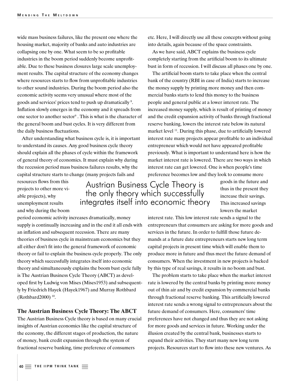wide mass business failures, like the present one where the housing market, majority of banks and auto industries are collapsing one by one. What seem to be so profitable industries in the boom period suddenly become unprofitable. Due to these business closures large scale unemployment results. The capital structure of the economy changes where resources starts to flow from unprofitable industries to other sound industries. During the boom period also the economic activity seems very unusual where most of the goods and services' prices tend to push up dramatically <sup>8</sup> . Inflation slowly emerges in the economy and it spreads from one sector to another sector<sup>9</sup>. This is what is the character of the general boom and bust cycles. It is very different from the daily business fluctuations.

After understanding what business cycle is, it is important to understand its causes. Any good business cycle theory should explain all the phases of cycle within the framework of general theory of economics. It must explain why during the recession period mass business failures results, why the capital structure starts to change (many projects fails and

resources flows from this projects to other more viable projects), why unemployment results and why during the boom

Austrian Business Cycle Theory is the only theory which successfully integrates itself into economic theory

goods in the future and thus in the present they increase their savings. This increased savings lowers the market interest rate. This low interest rate sends a signal to the

period economic activity increases dramatically, money supply is continually increasing and in the end it all ends with an inflation and subsequent recession. There are many theories of business cycle in mainstream economics but they all either don't fit into the general framework of economic theory or fail to explain the business cycle properly. The only theory which successfully integrates itself into economic theory and simultaneously explains the boom bust cycle fully is The Austrian Business Cycle Theory (ABCT) as developed first by Ludwig von Mises (Mises1953) and subsequently by Friedrich Hayek (Hayek1967) and Murray Rothbard (Rothbard2000) <sup>10</sup> .

#### **The Austrian Business Cycle Theory: The ABCT**

The Austrian Business Cycle theory is based on many crucial insights of Austrian economics like the capital structure of the economy, the different stages of production, the nature of money, bank credit expansion through the system of fractional reserve banking, time preference of consumers

entrepreneurs that consumers are asking for more goods and services in the future. In order to fulfill those future demands at a future date entrepreneurs starts new long term capital projects in present time which will enable them to produce more in future and thus meet the future demand of consumers. When the investment in new projects is backed by this type of real savings, it results in no boom and bust.

etc. Here, I will directly use all these concepts without going

into details, again because of the space constraints. As we have said, ABCT explains the business cycle completely starting from the artificial boom to its ultimate bust in form of recession. I will discuss all phases one by one. The artificial boom starts to take place when the central bank of the country (RBI in case of India) starts to increase the money supply by printing more money and then commercial banks starts to lend this money to the business people and general public at a lower interest rate. The increased money supply, which is result of printing of money and the credit expansion activity of banks through fractional reserve banking, lowers the interest rate below its natural market level <sup>11</sup>. During this phase, due to artificially lowered interest rate many projects appear profitable to an individual entrepreneur which would not have appeared profitable previously. What is important to understand here is how the market interest rate is lowered. There are two ways in which interest rate can get lowered. One is when people's time preference becomes low and they look to consume more

The problem starts to take place when the market interest rate is lowered by the central banks by printing more money out of thin air and by credit expansion by commercial banks through fractional reserve banking. This artificially lowered interest rate sends a wrong signal to entrepreneurs about the future demand of consumers. Here, consumers' time preferences have not changed and thus they are not asking for more goods and services in future. Working under the illusion created by the central bank, businesses starts to expand their activities. They start many new long term projects. Resources start to flow into these new ventures. As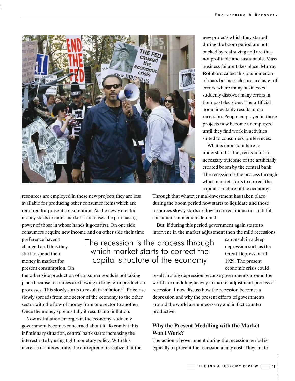

resources are employed in these new projects they are less available for producing other consumer items which are required for present consumption. As the newly created money starts to enter market it increases the purchasing power of those in whose hands it goes first. On one side consumers acquire new income and on other side their time

preference haven't changed and thus they start to spend their money in market for present consumption. On

The recession is the process through which market starts to correct the capital structure of the economy

Great Depression of 1929. The present economic crisis could result in a big depression because governments around the world are meddling heavily in market adjustment process of

recession. I now discuss how the recession becomes a depression and why the present efforts of governments around the world are unnecessary and in fact counter productive.

#### **Why the Present Meddling with the Market Won't Work?**

The action of government during the recession period is typically to prevent the recession at any cost. They fail to

new projects which they started during the boom period are not backed by real saving and are thus not profitable and sustainable. Mass business failure takes place. Murray Rothbard called this phenomenon of mass business closure, a cluster of errors, where many businesses suddenly discover many errors in their past decisions. The artificial boom inevitably results into a recession. People employed in those projects now become unemployed until they find work in activities suited to consumers' preferences.

What is important here to understand is that, recession is a necessary outcome of the artificially created boom by the central bank. The recession is the process through which market starts to correct the capital structure of the economy.

> can result in a deep depression such as the

Through that whatever mal-investment has taken place during the boom period now starts to liquidate and those resources slowly starts to flow in correct industries to fulfill consumers' immediate demand.

But, if during this period government again starts to intervene in the market adjustment then the mild recessions

the other side production of consumer goods is not taking place because resources are flowing in long term production processes. This slowly starts to result in inflation<sup>12</sup>. Price rise slowly spreads from one sector of the economy to the other sector with the flow of money from one sector to another. Once the money spreads fully it results into inflation.

Now as Inflation emerges in the economy, suddenly government becomes concerned about it. To combat this inflationary situation, central bank starts increasing the interest rate by using tight monetary policy. With this increase in interest rate, the entrepreneurs realize that the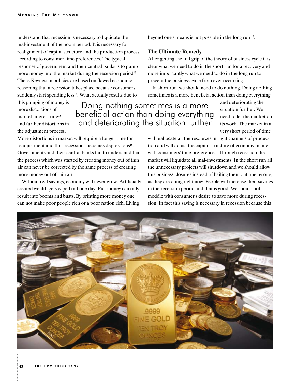understand that recession is necessary to liquidate the mal-investment of the boom period. It is necessary for realignment of capital structure and the production process according to consumer time preferences. The typical response of government and their central banks is to pump more money into the market during the recession period<sup>13</sup>. These Keynesian policies are based on flawed economic reasoning that a recession takes place because consumers suddenly start spending less<sup>14</sup>. What actually results due to

this pumping of money is more distortions of market interest rate<sup>15</sup> and further distortions in the adjustment process.

### Doing nothing sometimes is a more beneficial action than doing everything and deteriorating the situation further

and deteriorating the situation further. We need to let the market do its work. The market in a very short period of time

More distortions in market will require a longer time for readjustment and thus recessions becomes depressions<sup>16</sup>. Governments and their central banks fail to understand that the process which was started by creating money out of thin air can never be corrected by the same process of creating more money out of thin air.

Without real savings, economy will never grow. Artificially created wealth gets wiped out one day. Fiat money can only result into booms and busts. By printing more money one can not make poor people rich or a poor nation rich. Living

will reallocate all the resources in right channels of production and will adjust the capital structure of economy in line with consumers' time preferences. Through recession the market will liquidate all mal-investments. In the short run all the unnecessary projects will shutdown and we should allow this business closures instead of bailing them out one by one, as they are doing right now. People will increase their savings in the recession period and that is good. We should not meddle with consumer's desire to save more during recession. In fact this saving is necessary in recession because this

beyond one's means is not possible in the long run <sup>17</sup>.

prevent the business cycle from ever occurring.

After getting the full grip of the theory of business cycle it is clear what we need to do in the short run for a recovery and more importantly what we need to do in the long run to

In short run, we should need to do nothing. Doing nothing sometimes is a more beneficial action than doing everything

**The Ultimate Remedy**

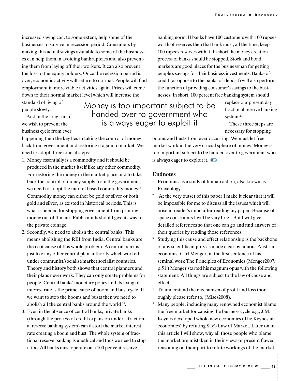increased saving can, to some extent, help some of the businesses to survive in recession period. Consumers by making this actual savings available to some of the businesses can help them in avoiding bankruptcies and also preventing them from laying off their workers. It can also prevent the loss to the equity holders. Once the recession period is over, economic activity will return to normal. People will find employment in more viable activities again. Prices will come down to their normal market level which will increase the

standard of living of people slowly.

And in the long run, if we wish to prevent the business cycle from ever

happening then the key lies in taking the control of money back from government and restoring it again to market. We need to adopt three crucial steps:

- 1. Money essentially is a commodity and it should be produced in the market itself like any other commodity. For restoring the money in the market place and to take back the control of money supply from the government, we need to adopt the market based commodity money<sup>18</sup>. Commodity money can either be gold or silver or both gold and silver, as existed in historical periods. This is what is needed for stopping government from printing money out of thin air. Public mints should give its way to the private coinage.
- 2. Secondly, we need to abolish the central banks. This means abolishing the RBI from India. Central banks are the root cause of this whole problem. A central bank is just like any other central plan authority which worked under communist/socialist/market socialist countries. Theory and history both shows that central planners and their plans never work. They can only create problems for people. Central banks' monetary policy and its fixing of interest rate is the prime cause of boom and bust cycle. If we want to stop the booms and busts then we need to abolish all the central banks around the world <sup>19</sup> .
- 3. Even in the absence of central banks, private banks (through the process of credit expansion under a fractional reserve banking system) can distort the market interest rate creating a boom and bust. The whole system of fractional reserve banking is unethical and thus we need to stop it too. All banks must operate on a 100 per cent reserve

banking norm. If banks have 100 customers with 100 rupees worth of reserves then that bank must, all the time, keep 100 rupees reserves with it. In short the money creation process of banks should be stopped. Stock and bond markets are good places for the businessman for getting people's savings for their business investments. Banks-ofcredit (as oppose to the banks-of-deposit) will also perform the function of providing consumer's savings to the businesses. In short, 100 percent free banking system should

> replace our present day fractional reserve banking system  $^{20}$ .

These three steps are necessary for stopping

booms and busts from ever occurring. We must let free market work in the very crucial sphere of money. Money is too important subject to be handed over to government who is always eager to exploit it.

#### **Endnotes**

Money is too important subject to be handed over to government who is always eager to exploit it

- $1$  Economics is a study of human action, also known as Praxeology.
- <sup>2</sup> At the very outset of this paper I make it clear that it will be impossible for me to discuss all the issues which will arise in reader's mind after reading my paper. Because of space constraints I will be very brief. But I will give detailed references so that one can go and find answers of their queries by reading those references.
- Studying this cause and effect relationship is the backbone of any scientific inquiry as made clear by famous Austrian economist Carl Menger, in the first sentence of his seminal work The Principles of Economics (Menger2007, p.51.) Menger started his magnum opus with the following statement: All things are subject to the law of cause and effect.
- 4 To understand the mechanism of profit and loss thoroughly please refer to, (Mises2008).
- <sup>5</sup> Many people, including many renowned economist blame the free market for causing the business cycle e.g., J.M. Keynes developed whole new economics (The Keynesian economics) by refuting Say's Law of Market. Later on in this article I will show, why all those people who blame the market are mistaken in their views or present flawed reasoning on their part to refute workings of the market.